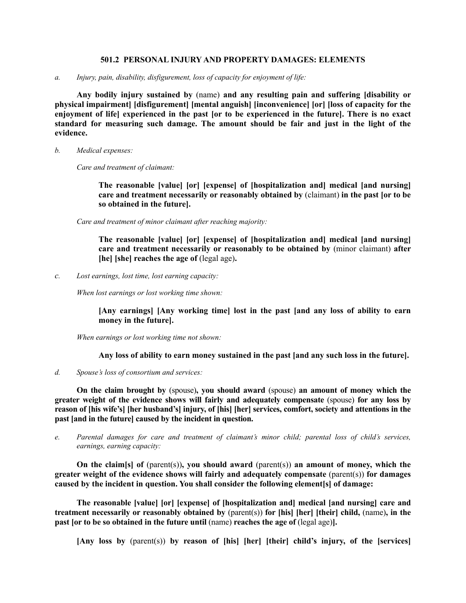#### **501.2 PERSONAL INJURY AND PROPERTY DAMAGES: ELEMENTS**

*a. Injury, pain, disability, disfigurement, loss of capacity for enjoyment of life:*

**Any bodily injury sustained by** (name) **and any resulting pain and suffering [disability or physical impairment] [disfigurement] [mental anguish] [inconvenience] [or] [loss of capacity for the enjoyment of life] experienced in the past [or to be experienced in the future]. There is no exact standard for measuring such damage. The amount should be fair and just in the light of the evidence.**

*b. Medical expenses:*

*Care and treatment of claimant:*

**The reasonable [value] [or] [expense] of [hospitalization and] medical [and nursing] care and treatment necessarily or reasonably obtained by** (claimant) **in the past [or to be so obtained in the future].**

*Care and treatment of minor claimant after reaching majority:*

**The reasonable [value] [or] [expense] of [hospitalization and] medical [and nursing] care and treatment necessarily or reasonably to be obtained by** (minor claimant) **after [he] [she] reaches the age of** (legal age)**.**

*c. Lost earnings, lost time, lost earning capacity:*

*When lost earnings or lost working time shown:* 

**[Any earnings] [Any working time] lost in the past [and any loss of ability to earn money in the future].**

*When earnings or lost working time not shown:*

**Any loss of ability to earn money sustained in the past [and any such loss in the future].**

*d. Spouse's loss of consortium and services:* 

**On the claim brought by** (spouse)**, you should award** (spouse) **an amount of money which the greater weight of the evidence shows will fairly and adequately compensate** (spouse) **for any loss by reason of [his wife's] [her husband's] injury, of [his] [her] services, comfort, society and attentions in the past [and in the future] caused by the incident in question.** 

*e. Parental damages for care and treatment of claimant's minor child; parental loss of child's services, earnings, earning capacity:* 

**On the claim[s] of** (parent(s))**, you should award** (parent(s)) **an amount of money, which the greater weight of the evidence shows will fairly and adequately compensate** (parent(s)) **for damages caused by the incident in question. You shall consider the following element[s] of damage:**

**The reasonable [value] [or] [expense] of [hospitalization and] medical [and nursing] care and treatment necessarily or reasonably obtained by** (parent(s)) **for [his] [her] [their] child,** (name)**, in the past [or to be so obtained in the future until** (name) **reaches the age of** (legal age)**].**

**[Any loss by** (parent(s)) **by reason of [his] [her] [their] child's injury, of the [services]**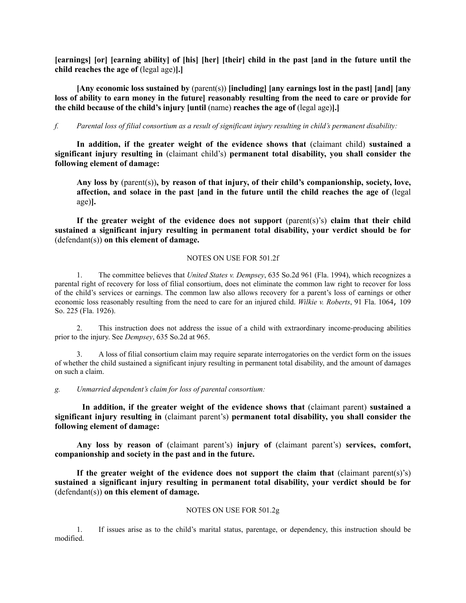**[earnings] [or] [earning ability] of [his] [her] [their] child in the past [and in the future until the child reaches the age of** (legal age)**].]**

**[Any economic loss sustained by** (parent(s)) **[including] [any earnings lost in the past] [and] [any loss of ability to earn money in the future] reasonably resulting from the need to care or provide for the child because of the child's injury [until** (name) **reaches the age of** (legal age)**].]**

# *f. Parental loss of filial consortium as a result of significant injury resulting in child's permanent disability:*

**In addition, if the greater weight of the evidence shows that** (claimant child) **sustained a significant injury resulting in** (claimant child's) **permanent total disability, you shall consider the following element of damage:**

**Any loss by** (parent(s))**, by reason of that injury, of their child's companionship, society, love, affection, and solace in the past [and in the future until the child reaches the age of** (legal age)**].**

**If the greater weight of the evidence does not support** (parent(s)'s) **claim that their child sustained a significant injury resulting in permanent total disability, your verdict should be for** (defendant(s)) **on this element of damage.**

# NOTES ON USE FOR 501.2f

1. The committee believes that *United States v. Dempsey*, 635 So.2d 961 (Fla. 1994), which recognizes a parental right of recovery for loss of filial consortium, does not eliminate the common law right to recover for loss of the child's services or earnings. The common law also allows recovery for a parent's loss of earnings or other economic loss reasonably resulting from the need to care for an injured child. *Wilkie v. Roberts*, 91 Fla. 1064, 109 So. 225 (Fla. 1926).

2. This instruction does not address the issue of a child with extraordinary income-producing abilities prior to the injury. See *Dempsey*, 635 So.2d at 965.

3. A loss of filial consortium claim may require separate interrogatories on the verdict form on the issues of whether the child sustained a significant injury resulting in permanent total disability, and the amount of damages on such a claim.

*g. Unmarried dependent's claim for loss of parental consortium:* 

**In addition, if the greater weight of the evidence shows that** (claimant parent) **sustained a significant injury resulting in** (claimant parent's) **permanent total disability, you shall consider the following element of damage:**

**Any loss by reason of** (claimant parent's) **injury of** (claimant parent's) **services, comfort, companionship and society in the past and in the future.** 

**If the greater weight of the evidence does not support the claim that** (claimant parent(s)'s) **sustained a significant injury resulting in permanent total disability, your verdict should be for** (defendant(s)) **on this element of damage.**

# NOTES ON USE FOR 501.2g

1. If issues arise as to the child's marital status, parentage, or dependency, this instruction should be modified.